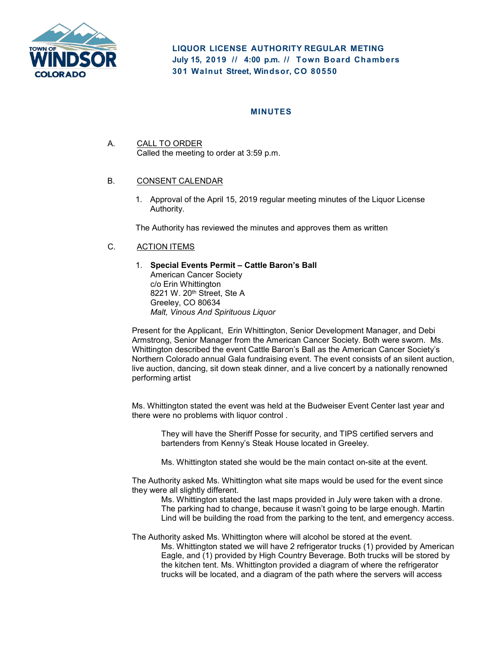

**LIQUOR LICENSE AUTHORITY REGULAR METING July 15, 2019 // 4:00 p. m. // Town Board Chambers 301 Walnut Street, Windsor, CO 80550**

## **MINUTES**

A. CALL TO ORDER Called the meeting to order at 3:59 p.m.

## B. CONSENT CALENDAR

1. Approval of the April 15, 2019 regular meeting minutes of the Liquor License Authority.

The Authority has reviewed the minutes and approves them as written

# C. ACTION ITEMS

1. **Special Events Permit – Cattle Baron's Ball** American Cancer Society c/o Erin Whittington 8221 W. 20<sup>th</sup> Street, Ste A Greeley, CO 80634 *Malt, Vinous And Spirituous Liquor*

Present for the Applicant, Erin Whittington, Senior Development Manager, and Debi Armstrong, Senior Manager from the American Cancer Society. Both were sworn. Ms. Whittington described the event Cattle Baron's Ball as the American Cancer Society's Northern Colorado annual Gala fundraising event. The event consists of an silent auction, live auction, dancing, sit down steak dinner, and a live concert by a nationally renowned performing artist

Ms. Whittington stated the event was held at the Budweiser Event Center last year and there were no problems with liquor control .

They will have the Sheriff Posse for security, and TIPS certified servers and bartenders from Kenny's Steak House located in Greeley.

Ms. Whittington stated she would be the main contact on-site at the event.

The Authority asked Ms. Whittington what site maps would be used for the event since they were all slightly different.

Ms. Whittington stated the last maps provided in July were taken with a drone. The parking had to change, because it wasn't going to be large enough. Martin Lind will be building the road from the parking to the tent, and emergency access.

The Authority asked Ms. Whittington where will alcohol be stored at the event. Ms. Whittington stated we will have 2 refrigerator trucks (1) provided by American Eagle, and (1) provided by High Country Beverage. Both trucks will be stored by the kitchen tent. Ms. Whittington provided a diagram of where the refrigerator trucks will be located, and a diagram of the path where the servers will access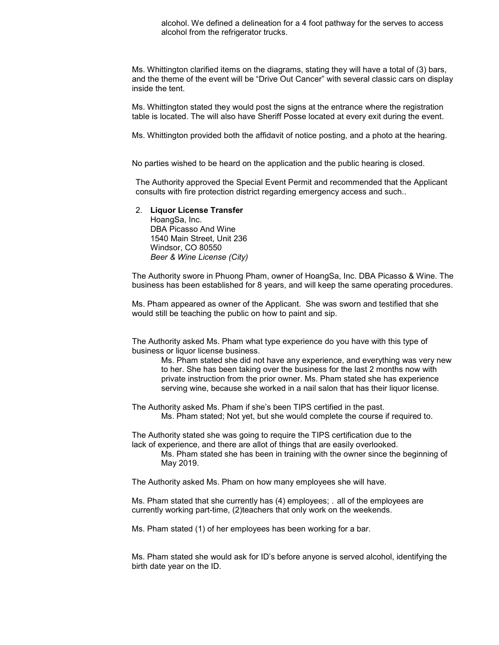alcohol. We defined a delineation for a 4 foot pathway for the serves to access alcohol from the refrigerator trucks.

Ms. Whittington clarified items on the diagrams, stating they will have a total of (3) bars, and the theme of the event will be "Drive Out Cancer" with several classic cars on display inside the tent.

Ms. Whittington stated they would post the signs at the entrance where the registration table is located. The will also have Sheriff Posse located at every exit during the event.

Ms. Whittington provided both the affidavit of notice posting, and a photo at the hearing.

No parties wished to be heard on the application and the public hearing is closed.

The Authority approved the Special Event Permit and recommended that the Applicant consults with fire protection district regarding emergency access and such..

#### 2. **Liquor License Transfer**

HoangSa, Inc. DBA Picasso And Wine 1540 Main Street, Unit 236 Windsor, CO 80550 *Beer & Wine License (City)*

The Authority swore in Phuong Pham, owner of HoangSa, Inc. DBA Picasso & Wine. The business has been established for 8 years, and will keep the same operating procedures.

Ms. Pham appeared as owner of the Applicant. She was sworn and testified that she would still be teaching the public on how to paint and sip.

The Authority asked Ms. Pham what type experience do you have with this type of business or liquor license business.

Ms. Pham stated she did not have any experience, and everything was very new to her. She has been taking over the business for the last 2 months now with private instruction from the prior owner. Ms. Pham stated she has experience serving wine, because she worked in a nail salon that has their liquor license.

The Authority asked Ms. Pham if she's been TIPS certified in the past. Ms. Pham stated; Not yet, but she would complete the course if required to.

The Authority stated she was going to require the TIPS certification due to the lack of experience, and there are allot of things that are easily overlooked.

Ms. Pham stated she has been in training with the owner since the beginning of May 2019.

The Authority asked Ms. Pham on how many employees she will have.

Ms. Pham stated that she currently has (4) employees; . all of the employees are currently working part-time, (2)teachers that only work on the weekends.

Ms. Pham stated (1) of her employees has been working for a bar.

Ms. Pham stated she would ask for ID's before anyone is served alcohol, identifying the birth date year on the ID.